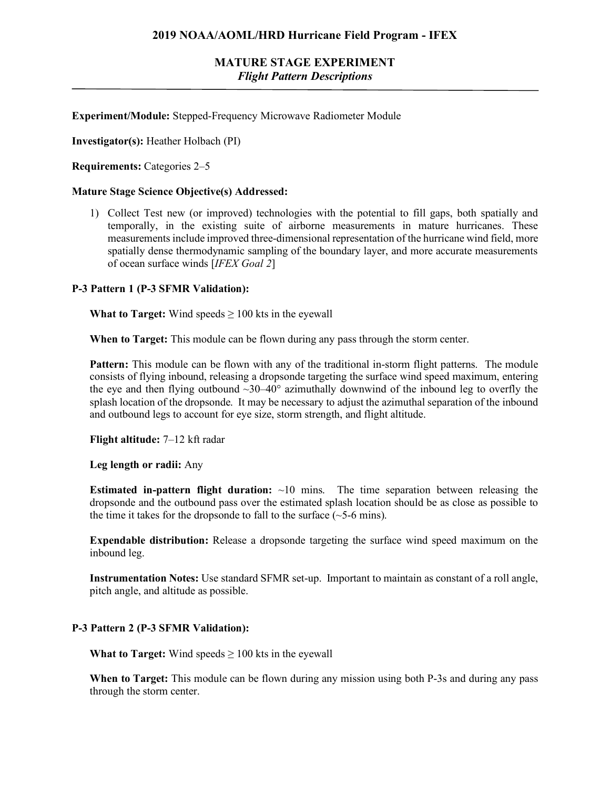# **MATURE STAGE EXPERIMENT** *Flight Pattern Descriptions*

**Experiment/Module:** Stepped-Frequency Microwave Radiometer Module

**Investigator(s):** Heather Holbach (PI)

**Requirements:** Categories 2–5

#### **Mature Stage Science Objective(s) Addressed:**

1) Collect Test new (or improved) technologies with the potential to fill gaps, both spatially and temporally, in the existing suite of airborne measurements in mature hurricanes. These measurements include improved three-dimensional representation of the hurricane wind field, more spatially dense thermodynamic sampling of the boundary layer, and more accurate measurements of ocean surface winds [*IFEX Goal 2*]

### **P-3 Pattern 1 (P-3 SFMR Validation):**

**What to Target:** Wind speeds  $\geq 100$  kts in the eyewall

**When to Target:** This module can be flown during any pass through the storm center.

**Pattern:** This module can be flown with any of the traditional in-storm flight patterns. The module consists of flying inbound, releasing a dropsonde targeting the surface wind speed maximum, entering the eye and then flying outbound  $\sim$ 30–40 $^{\circ}$  azimuthally downwind of the inbound leg to overfly the splash location of the dropsonde. It may be necessary to adjust the azimuthal separation of the inbound and outbound legs to account for eye size, storm strength, and flight altitude.

**Flight altitude:** 7–12 kft radar

**Leg length or radii:** Any

**Estimated in-pattern flight duration:** ~10 mins. The time separation between releasing the dropsonde and the outbound pass over the estimated splash location should be as close as possible to the time it takes for the dropsonde to fall to the surface  $(\sim 5\n-6$  mins).

**Expendable distribution:** Release a dropsonde targeting the surface wind speed maximum on the inbound leg.

**Instrumentation Notes:** Use standard SFMR set-up. Important to maintain as constant of a roll angle, pitch angle, and altitude as possible.

### **P-3 Pattern 2 (P-3 SFMR Validation):**

**What to Target:** Wind speeds  $\geq 100$  kts in the eyewall

**When to Target:** This module can be flown during any mission using both P-3s and during any pass through the storm center.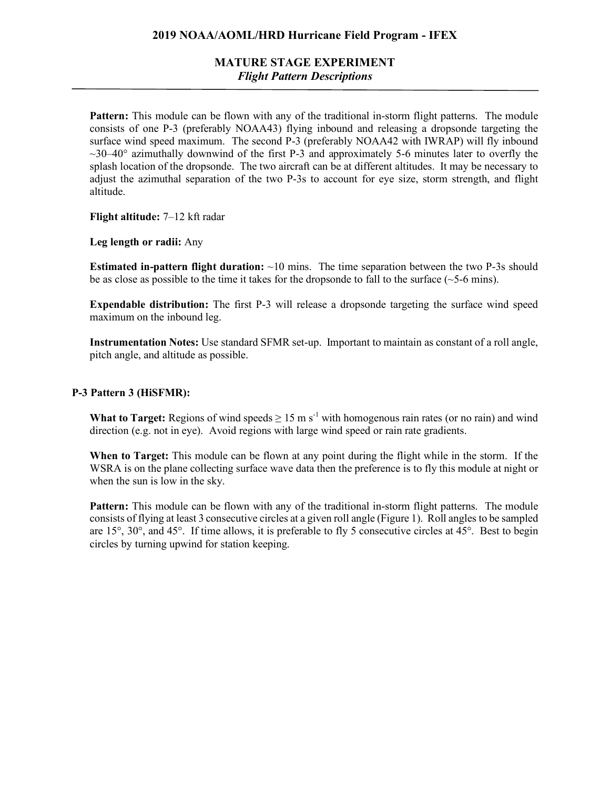## **2019 NOAA/AOML/HRD Hurricane Field Program - IFEX**

# **MATURE STAGE EXPERIMENT** *Flight Pattern Descriptions*

**Pattern:** This module can be flown with any of the traditional in-storm flight patterns. The module consists of one P-3 (preferably NOAA43) flying inbound and releasing a dropsonde targeting the surface wind speed maximum. The second P-3 (preferably NOAA42 with IWRAP) will fly inbound  $\sim$ 30–40 $\degree$  azimuthally downwind of the first P-3 and approximately 5-6 minutes later to overfly the splash location of the dropsonde. The two aircraft can be at different altitudes. It may be necessary to adjust the azimuthal separation of the two P-3s to account for eye size, storm strength, and flight altitude.

**Flight altitude:** 7–12 kft radar

**Leg length or radii:** Any

**Estimated in-pattern flight duration:**  $\sim$ 10 mins. The time separation between the two P-3s should be as close as possible to the time it takes for the dropsonde to fall to the surface  $(\sim 5-6 \text{ mins})$ .

**Expendable distribution:** The first P-3 will release a dropsonde targeting the surface wind speed maximum on the inbound leg.

**Instrumentation Notes:** Use standard SFMR set-up. Important to maintain as constant of a roll angle, pitch angle, and altitude as possible.

#### **P-3 Pattern 3 (HiSFMR):**

**What to Target:** Regions of wind speeds  $\geq 15$  m s<sup>-1</sup> with homogenous rain rates (or no rain) and wind direction (e.g. not in eye). Avoid regions with large wind speed or rain rate gradients.

**When to Target:** This module can be flown at any point during the flight while in the storm. If the WSRA is on the plane collecting surface wave data then the preference is to fly this module at night or when the sun is low in the sky.

**Pattern:** This module can be flown with any of the traditional in-storm flight patterns. The module consists of flying at least 3 consecutive circles at a given roll angle (Figure 1). Roll angles to be sampled are 15°, 30°, and 45°. If time allows, it is preferable to fly 5 consecutive circles at 45°. Best to begin circles by turning upwind for station keeping.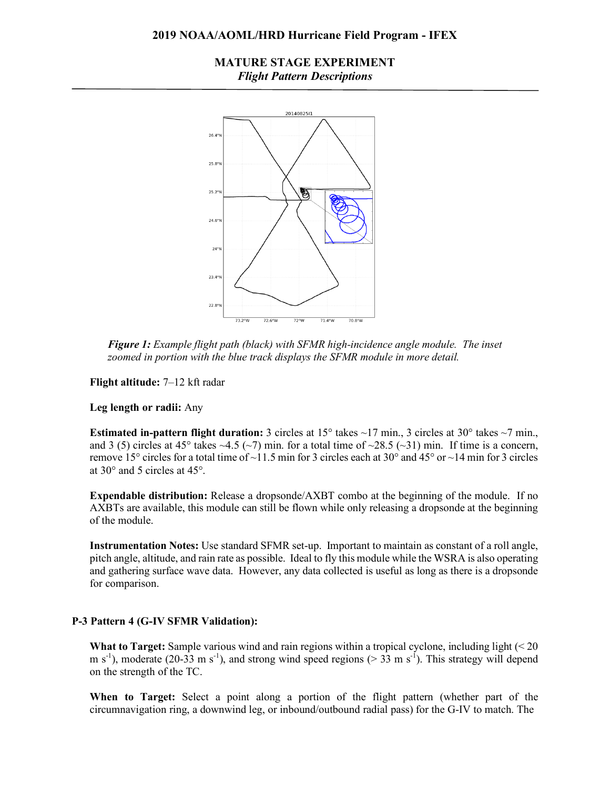### **2019 NOAA/AOML/HRD Hurricane Field Program - IFEX**

## **MATURE STAGE EXPERIMENT** *Flight Pattern Descriptions*



*Figure 1: Example flight path (black) with SFMR high-incidence angle module. The inset zoomed in portion with the blue track displays the SFMR module in more detail.*

**Flight altitude:** 7–12 kft radar

**Leg length or radii:** Any

**Estimated in-pattern flight duration:** 3 circles at 15<sup>°</sup> takes ~17 min., 3 circles at 30<sup>°</sup> takes ~7 min., and 3 (5) circles at 45° takes  $\sim$ 4.5 ( $\sim$ 7) min. for a total time of  $\sim$ 28.5 ( $\sim$ 31) min. If time is a concern, remove 15° circles for a total time of ~11.5 min for 3 circles each at 30° and 45° or ~14 min for 3 circles at 30° and 5 circles at 45°.

**Expendable distribution:** Release a dropsonde/AXBT combo at the beginning of the module. If no AXBTs are available, this module can still be flown while only releasing a dropsonde at the beginning of the module.

**Instrumentation Notes:** Use standard SFMR set-up. Important to maintain as constant of a roll angle, pitch angle, altitude, and rain rate as possible. Ideal to fly this module while the WSRA is also operating and gathering surface wave data. However, any data collected is useful as long as there is a dropsonde for comparison.

### **P-3 Pattern 4 (G-IV SFMR Validation):**

**What to Target:** Sample various wind and rain regions within a tropical cyclone, including light (< 20 m s<sup>-1</sup>), moderate (20-33 m s<sup>-1</sup>), and strong wind speed regions ( $>$  33 m s<sup>-1</sup>). This strategy will depend on the strength of the TC.

**When to Target:** Select a point along a portion of the flight pattern (whether part of the circumnavigation ring, a downwind leg, or inbound/outbound radial pass) for the G-IV to match. The